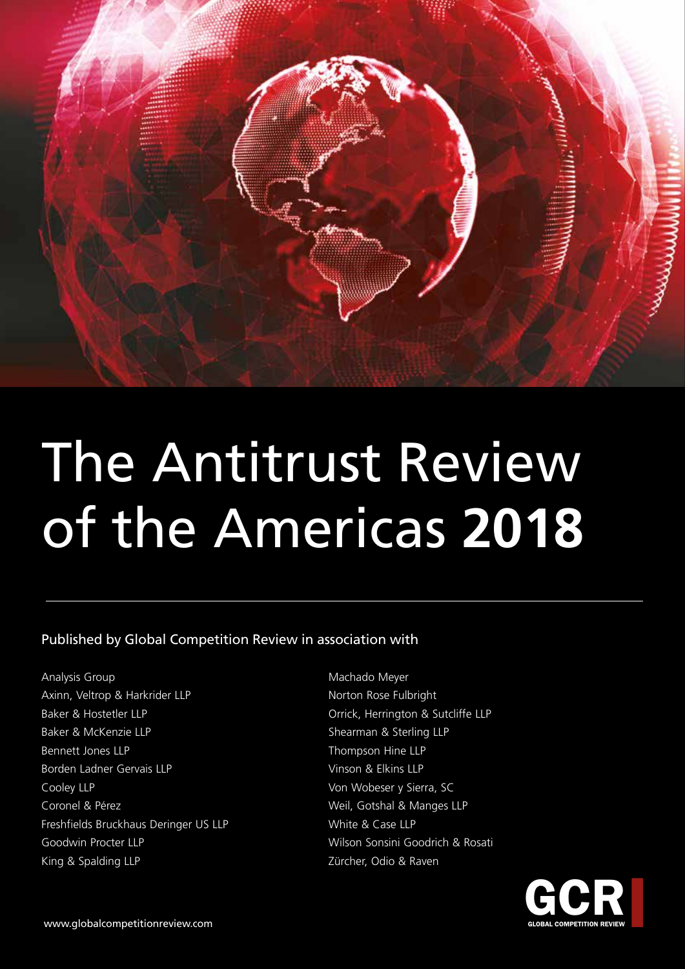

# The Antitrust Review of the Americas **2018**

Published by Global Competition Review in association with

Analysis Group Axinn, Veltrop & Harkrider LLP Baker & Hostetler LLP Baker & McKenzie LLP Bennett Jones LLP Borden Ladner Gervais LLP Cooley LLP Coronel & Pérez Freshfields Bruckhaus Deringer US LLP Goodwin Procter LLP King & Spalding LLP

Machado Meyer Norton Rose Fulbright Orrick, Herrington & Sutcliffe LLP Shearman & Sterling LLP Thompson Hine LLP Vinson & Elkins LLP Von Wobeser y Sierra, SC Weil, Gotshal & Manges LLP White & Case LLP Wilson Sonsini Goodrich & Rosati Zürcher, Odio & Raven

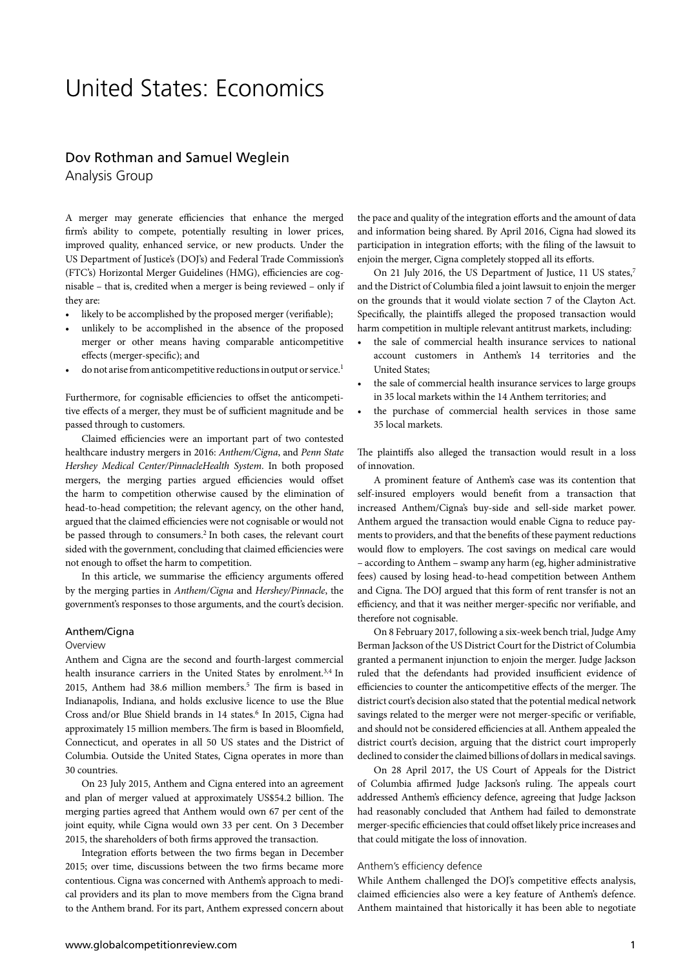# United States: Economics

### Dov Rothman and Samuel Weglein Analysis Group

A merger may generate efficiencies that enhance the merged firm's ability to compete, potentially resulting in lower prices, improved quality, enhanced service, or new products. Under the US Department of Justice's (DOJ's) and Federal Trade Commission's (FTC's) Horizontal Merger Guidelines (HMG), efficiencies are cognisable – that is, credited when a merger is being reviewed – only if they are:

- likely to be accomplished by the proposed merger (verifiable);
- unlikely to be accomplished in the absence of the proposed merger or other means having comparable anticompetitive effects (merger-specific); and
- do not arise from anticompetitive reductions in output or service.<sup>1</sup>

Furthermore, for cognisable efficiencies to offset the anticompetitive effects of a merger, they must be of sufficient magnitude and be passed through to customers.

Claimed efficiencies were an important part of two contested healthcare industry mergers in 2016: *Anthem/Cigna*, and *Penn State Hershey Medical Center/PinnacleHealth System*. In both proposed mergers, the merging parties argued efficiencies would offset the harm to competition otherwise caused by the elimination of head-to-head competition; the relevant agency, on the other hand, argued that the claimed efficiencies were not cognisable or would not be passed through to consumers.2 In both cases, the relevant court sided with the government, concluding that claimed efficiencies were not enough to offset the harm to competition.

In this article, we summarise the efficiency arguments offered by the merging parties in *Anthem/Cigna* and *Hershey/Pinnacle*, the government's responses to those arguments, and the court's decision.

#### Anthem/Cigna

#### **Overview**

Anthem and Cigna are the second and fourth-largest commercial health insurance carriers in the United States by enrolment.<sup>3,4</sup> In 2015, Anthem had 38.6 million members.<sup>5</sup> The firm is based in Indianapolis, Indiana, and holds exclusive licence to use the Blue Cross and/or Blue Shield brands in 14 states.<sup>6</sup> In 2015, Cigna had approximately 15 million members.The firm is based in Bloomfield, Connecticut, and operates in all 50 US states and the District of Columbia. Outside the United States, Cigna operates in more than 30 countries.

On 23 July 2015, Anthem and Cigna entered into an agreement and plan of merger valued at approximately US\$54.2 billion. The merging parties agreed that Anthem would own 67 per cent of the joint equity, while Cigna would own 33 per cent. On 3 December 2015, the shareholders of both firms approved the transaction.

Integration efforts between the two firms began in December 2015; over time, discussions between the two firms became more contentious. Cigna was concerned with Anthem's approach to medical providers and its plan to move members from the Cigna brand to the Anthem brand. For its part, Anthem expressed concern about

the pace and quality of the integration efforts and the amount of data and information being shared. By April 2016, Cigna had slowed its participation in integration efforts; with the filing of the lawsuit to enjoin the merger, Cigna completely stopped all its efforts.

On 21 July 2016, the US Department of Justice, 11 US states,<sup>7</sup> and the District of Columbia filed a joint lawsuit to enjoin the merger on the grounds that it would violate section 7 of the Clayton Act. Specifically, the plaintiffs alleged the proposed transaction would harm competition in multiple relevant antitrust markets, including:

- the sale of commercial health insurance services to national account customers in Anthem's 14 territories and the United States;
- the sale of commercial health insurance services to large groups in 35 local markets within the 14 Anthem territories; and
- the purchase of commercial health services in those same 35 local markets.

The plaintiffs also alleged the transaction would result in a loss of innovation.

A prominent feature of Anthem's case was its contention that self-insured employers would benefit from a transaction that increased Anthem/Cigna's buy-side and sell-side market power. Anthem argued the transaction would enable Cigna to reduce payments to providers, and that the benefits of these payment reductions would flow to employers. The cost savings on medical care would – according to Anthem – swamp any harm (eg, higher administrative fees) caused by losing head-to-head competition between Anthem and Cigna. The DOJ argued that this form of rent transfer is not an efficiency, and that it was neither merger-specific nor verifiable, and therefore not cognisable.

On 8 February 2017, following a six-week bench trial, Judge Amy Berman Jackson of the US District Court for the District of Columbia granted a permanent injunction to enjoin the merger. Judge Jackson ruled that the defendants had provided insufficient evidence of efficiencies to counter the anticompetitive effects of the merger. The district court's decision also stated that the potential medical network savings related to the merger were not merger-specific or verifiable, and should not be considered efficiencies at all. Anthem appealed the district court's decision, arguing that the district court improperly declined to consider the claimed billions of dollars in medical savings.

On 28 April 2017, the US Court of Appeals for the District of Columbia affirmed Judge Jackson's ruling. The appeals court addressed Anthem's efficiency defence, agreeing that Judge Jackson had reasonably concluded that Anthem had failed to demonstrate merger-specific efficiencies that could offset likely price increases and that could mitigate the loss of innovation.

#### Anthem's efficiency defence

While Anthem challenged the DOJ's competitive effects analysis, claimed efficiencies also were a key feature of Anthem's defence. Anthem maintained that historically it has been able to negotiate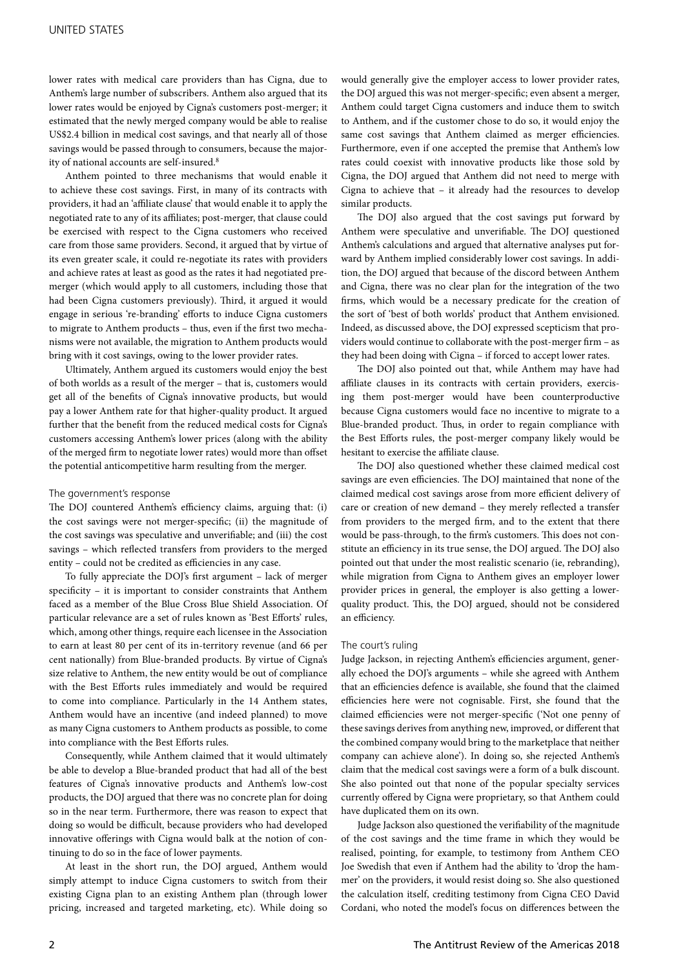lower rates with medical care providers than has Cigna, due to Anthem's large number of subscribers. Anthem also argued that its lower rates would be enjoyed by Cigna's customers post-merger; it estimated that the newly merged company would be able to realise US\$2.4 billion in medical cost savings, and that nearly all of those savings would be passed through to consumers, because the majority of national accounts are self-insured.<sup>8</sup>

Anthem pointed to three mechanisms that would enable it to achieve these cost savings. First, in many of its contracts with providers, it had an 'affiliate clause' that would enable it to apply the negotiated rate to any of its affiliates; post-merger, that clause could be exercised with respect to the Cigna customers who received care from those same providers. Second, it argued that by virtue of its even greater scale, it could re-negotiate its rates with providers and achieve rates at least as good as the rates it had negotiated premerger (which would apply to all customers, including those that had been Cigna customers previously). Third, it argued it would engage in serious 're-branding' efforts to induce Cigna customers to migrate to Anthem products – thus, even if the first two mechanisms were not available, the migration to Anthem products would bring with it cost savings, owing to the lower provider rates.

Ultimately, Anthem argued its customers would enjoy the best of both worlds as a result of the merger – that is, customers would get all of the benefits of Cigna's innovative products, but would pay a lower Anthem rate for that higher-quality product. It argued further that the benefit from the reduced medical costs for Cigna's customers accessing Anthem's lower prices (along with the ability of the merged firm to negotiate lower rates) would more than offset the potential anticompetitive harm resulting from the merger.

#### The government's response

The DOJ countered Anthem's efficiency claims, arguing that: (i) the cost savings were not merger-specific; (ii) the magnitude of the cost savings was speculative and unverifiable; and (iii) the cost savings – which reflected transfers from providers to the merged entity – could not be credited as efficiencies in any case.

To fully appreciate the DOJ's first argument – lack of merger specificity – it is important to consider constraints that Anthem faced as a member of the Blue Cross Blue Shield Association. Of particular relevance are a set of rules known as 'Best Efforts' rules, which, among other things, require each licensee in the Association to earn at least 80 per cent of its in-territory revenue (and 66 per cent nationally) from Blue-branded products. By virtue of Cigna's size relative to Anthem, the new entity would be out of compliance with the Best Efforts rules immediately and would be required to come into compliance. Particularly in the 14 Anthem states, Anthem would have an incentive (and indeed planned) to move as many Cigna customers to Anthem products as possible, to come into compliance with the Best Efforts rules.

Consequently, while Anthem claimed that it would ultimately be able to develop a Blue-branded product that had all of the best features of Cigna's innovative products and Anthem's low-cost products, the DOJ argued that there was no concrete plan for doing so in the near term. Furthermore, there was reason to expect that doing so would be difficult, because providers who had developed innovative offerings with Cigna would balk at the notion of continuing to do so in the face of lower payments.

At least in the short run, the DOJ argued, Anthem would simply attempt to induce Cigna customers to switch from their existing Cigna plan to an existing Anthem plan (through lower pricing, increased and targeted marketing, etc). While doing so would generally give the employer access to lower provider rates, the DOJ argued this was not merger-specific; even absent a merger, Anthem could target Cigna customers and induce them to switch to Anthem, and if the customer chose to do so, it would enjoy the same cost savings that Anthem claimed as merger efficiencies. Furthermore, even if one accepted the premise that Anthem's low rates could coexist with innovative products like those sold by Cigna, the DOJ argued that Anthem did not need to merge with Cigna to achieve that – it already had the resources to develop similar products.

The DOJ also argued that the cost savings put forward by Anthem were speculative and unverifiable. The DOJ questioned Anthem's calculations and argued that alternative analyses put forward by Anthem implied considerably lower cost savings. In addition, the DOJ argued that because of the discord between Anthem and Cigna, there was no clear plan for the integration of the two firms, which would be a necessary predicate for the creation of the sort of 'best of both worlds' product that Anthem envisioned. Indeed, as discussed above, the DOJ expressed scepticism that providers would continue to collaborate with the post-merger firm – as they had been doing with Cigna – if forced to accept lower rates.

The DOJ also pointed out that, while Anthem may have had affiliate clauses in its contracts with certain providers, exercising them post-merger would have been counterproductive because Cigna customers would face no incentive to migrate to a Blue-branded product. Thus, in order to regain compliance with the Best Efforts rules, the post-merger company likely would be hesitant to exercise the affiliate clause.

The DOJ also questioned whether these claimed medical cost savings are even efficiencies. The DOJ maintained that none of the claimed medical cost savings arose from more efficient delivery of care or creation of new demand – they merely reflected a transfer from providers to the merged firm, and to the extent that there would be pass-through, to the firm's customers. This does not constitute an efficiency in its true sense, the DOJ argued. The DOJ also pointed out that under the most realistic scenario (ie, rebranding), while migration from Cigna to Anthem gives an employer lower provider prices in general, the employer is also getting a lowerquality product. This, the DOJ argued, should not be considered an efficiency.

#### The court's ruling

Judge Jackson, in rejecting Anthem's efficiencies argument, generally echoed the DOJ's arguments – while she agreed with Anthem that an efficiencies defence is available, she found that the claimed efficiencies here were not cognisable. First, she found that the claimed efficiencies were not merger-specific ('Not one penny of these savings derives from anything new, improved, or different that the combined company would bring to the marketplace that neither company can achieve alone'). In doing so, she rejected Anthem's claim that the medical cost savings were a form of a bulk discount. She also pointed out that none of the popular specialty services currently offered by Cigna were proprietary, so that Anthem could have duplicated them on its own.

Judge Jackson also questioned the verifiability of the magnitude of the cost savings and the time frame in which they would be realised, pointing, for example, to testimony from Anthem CEO Joe Swedish that even if Anthem had the ability to 'drop the hammer' on the providers, it would resist doing so. She also questioned the calculation itself, crediting testimony from Cigna CEO David Cordani, who noted the model's focus on differences between the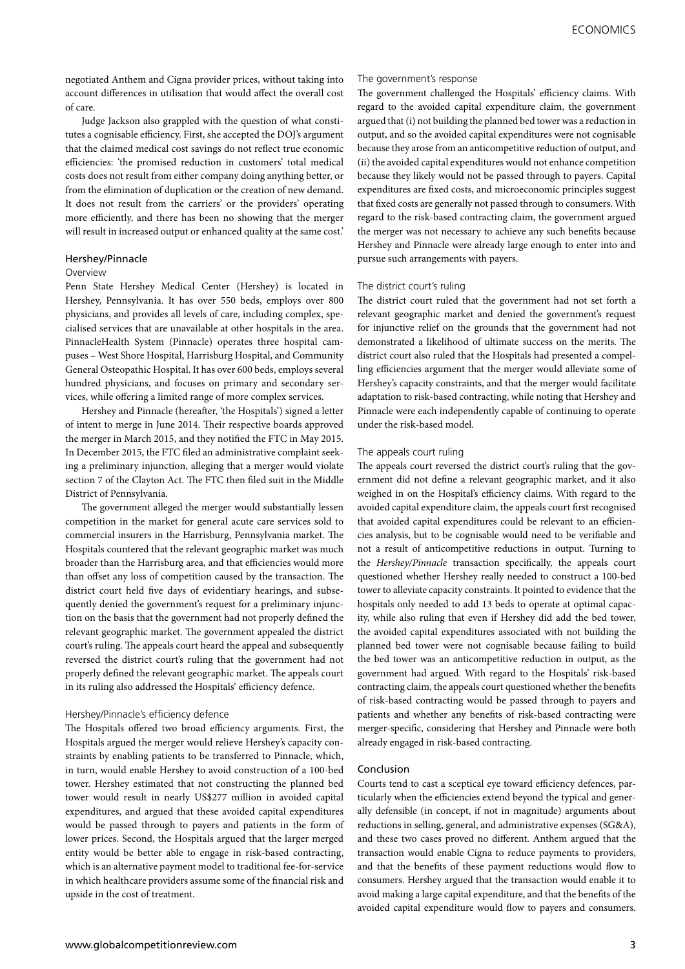negotiated Anthem and Cigna provider prices, without taking into account differences in utilisation that would affect the overall cost of care.

Judge Jackson also grappled with the question of what constitutes a cognisable efficiency. First, she accepted the DOJ's argument that the claimed medical cost savings do not reflect true economic efficiencies: 'the promised reduction in customers' total medical costs does not result from either company doing anything better, or from the elimination of duplication or the creation of new demand. It does not result from the carriers' or the providers' operating more efficiently, and there has been no showing that the merger will result in increased output or enhanced quality at the same cost.'

#### Hershey/Pinnacle

#### Overview

Penn State Hershey Medical Center (Hershey) is located in Hershey, Pennsylvania. It has over 550 beds, employs over 800 physicians, and provides all levels of care, including complex, specialised services that are unavailable at other hospitals in the area. PinnacleHealth System (Pinnacle) operates three hospital campuses – West Shore Hospital, Harrisburg Hospital, and Community General Osteopathic Hospital. It has over 600 beds, employs several hundred physicians, and focuses on primary and secondary services, while offering a limited range of more complex services.

Hershey and Pinnacle (hereafter, 'the Hospitals') signed a letter of intent to merge in June 2014. Their respective boards approved the merger in March 2015, and they notified the FTC in May 2015. In December 2015, the FTC filed an administrative complaint seeking a preliminary injunction, alleging that a merger would violate section 7 of the Clayton Act. The FTC then filed suit in the Middle District of Pennsylvania.

The government alleged the merger would substantially lessen competition in the market for general acute care services sold to commercial insurers in the Harrisburg, Pennsylvania market. The Hospitals countered that the relevant geographic market was much broader than the Harrisburg area, and that efficiencies would more than offset any loss of competition caused by the transaction. The district court held five days of evidentiary hearings, and subsequently denied the government's request for a preliminary injunction on the basis that the government had not properly defined the relevant geographic market. The government appealed the district court's ruling. The appeals court heard the appeal and subsequently reversed the district court's ruling that the government had not properly defined the relevant geographic market. The appeals court in its ruling also addressed the Hospitals' efficiency defence.

#### Hershey/Pinnacle's efficiency defence

The Hospitals offered two broad efficiency arguments. First, the Hospitals argued the merger would relieve Hershey's capacity constraints by enabling patients to be transferred to Pinnacle, which, in turn, would enable Hershey to avoid construction of a 100-bed tower. Hershey estimated that not constructing the planned bed tower would result in nearly US\$277 million in avoided capital expenditures, and argued that these avoided capital expenditures would be passed through to payers and patients in the form of lower prices. Second, the Hospitals argued that the larger merged entity would be better able to engage in risk-based contracting, which is an alternative payment model to traditional fee-for-service in which healthcare providers assume some of the financial risk and upside in the cost of treatment.

#### The government's response

The government challenged the Hospitals' efficiency claims. With regard to the avoided capital expenditure claim, the government argued that (i) not building the planned bed tower was a reduction in output, and so the avoided capital expenditures were not cognisable because they arose from an anticompetitive reduction of output, and (ii) the avoided capital expenditures would not enhance competition because they likely would not be passed through to payers. Capital expenditures are fixed costs, and microeconomic principles suggest that fixed costs are generally not passed through to consumers. With regard to the risk-based contracting claim, the government argued the merger was not necessary to achieve any such benefits because Hershey and Pinnacle were already large enough to enter into and pursue such arrangements with payers.

#### The district court's ruling

The district court ruled that the government had not set forth a relevant geographic market and denied the government's request for injunctive relief on the grounds that the government had not demonstrated a likelihood of ultimate success on the merits. The district court also ruled that the Hospitals had presented a compelling efficiencies argument that the merger would alleviate some of Hershey's capacity constraints, and that the merger would facilitate adaptation to risk-based contracting, while noting that Hershey and Pinnacle were each independently capable of continuing to operate under the risk-based model.

#### The appeals court ruling

The appeals court reversed the district court's ruling that the government did not define a relevant geographic market, and it also weighed in on the Hospital's efficiency claims. With regard to the avoided capital expenditure claim, the appeals court first recognised that avoided capital expenditures could be relevant to an efficiencies analysis, but to be cognisable would need to be verifiable and not a result of anticompetitive reductions in output. Turning to the *Hershey/Pinnacle* transaction specifically, the appeals court questioned whether Hershey really needed to construct a 100-bed tower to alleviate capacity constraints. It pointed to evidence that the hospitals only needed to add 13 beds to operate at optimal capacity, while also ruling that even if Hershey did add the bed tower, the avoided capital expenditures associated with not building the planned bed tower were not cognisable because failing to build the bed tower was an anticompetitive reduction in output, as the government had argued. With regard to the Hospitals' risk-based contracting claim, the appeals court questioned whether the benefits of risk-based contracting would be passed through to payers and patients and whether any benefits of risk-based contracting were merger-specific, considering that Hershey and Pinnacle were both already engaged in risk-based contracting.

#### Conclusion

Courts tend to cast a sceptical eye toward efficiency defences, particularly when the efficiencies extend beyond the typical and generally defensible (in concept, if not in magnitude) arguments about reductions in selling, general, and administrative expenses (SG&A), and these two cases proved no different. Anthem argued that the transaction would enable Cigna to reduce payments to providers, and that the benefits of these payment reductions would flow to consumers. Hershey argued that the transaction would enable it to avoid making a large capital expenditure, and that the benefits of the avoided capital expenditure would flow to payers and consumers.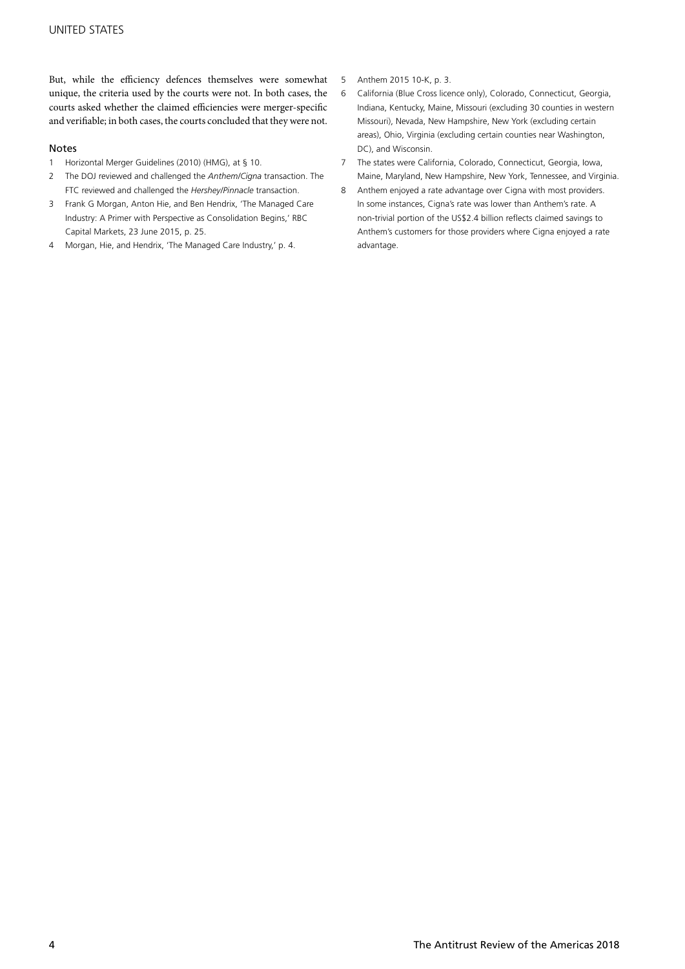But, while the efficiency defences themselves were somewhat unique, the criteria used by the courts were not. In both cases, the courts asked whether the claimed efficiencies were merger-specific and verifiable; in both cases, the courts concluded that they were not.

#### Notes

- 1 Horizontal Merger Guidelines (2010) (HMG), at § 10.
- 2 The DOJ reviewed and challenged the *Anthem/Cigna* transaction. The FTC reviewed and challenged the *Hershey/Pinnacle* transaction.
- 3 Frank G Morgan, Anton Hie, and Ben Hendrix, 'The Managed Care Industry: A Primer with Perspective as Consolidation Begins,' RBC Capital Markets, 23 June 2015, p. 25.
- 4 Morgan, Hie, and Hendrix, 'The Managed Care Industry,' p. 4.
- 5 Anthem 2015 10-K, p. 3.
- 6 California (Blue Cross licence only), Colorado, Connecticut, Georgia, Indiana, Kentucky, Maine, Missouri (excluding 30 counties in western Missouri), Nevada, New Hampshire, New York (excluding certain areas), Ohio, Virginia (excluding certain counties near Washington, DC), and Wisconsin.
- 7 The states were California, Colorado, Connecticut, Georgia, Iowa, Maine, Maryland, New Hampshire, New York, Tennessee, and Virginia.
- 8 Anthem enjoyed a rate advantage over Cigna with most providers. In some instances, Cigna's rate was lower than Anthem's rate. A non-trivial portion of the US\$2.4 billion reflects claimed savings to Anthem's customers for those providers where Cigna enjoyed a rate advantage.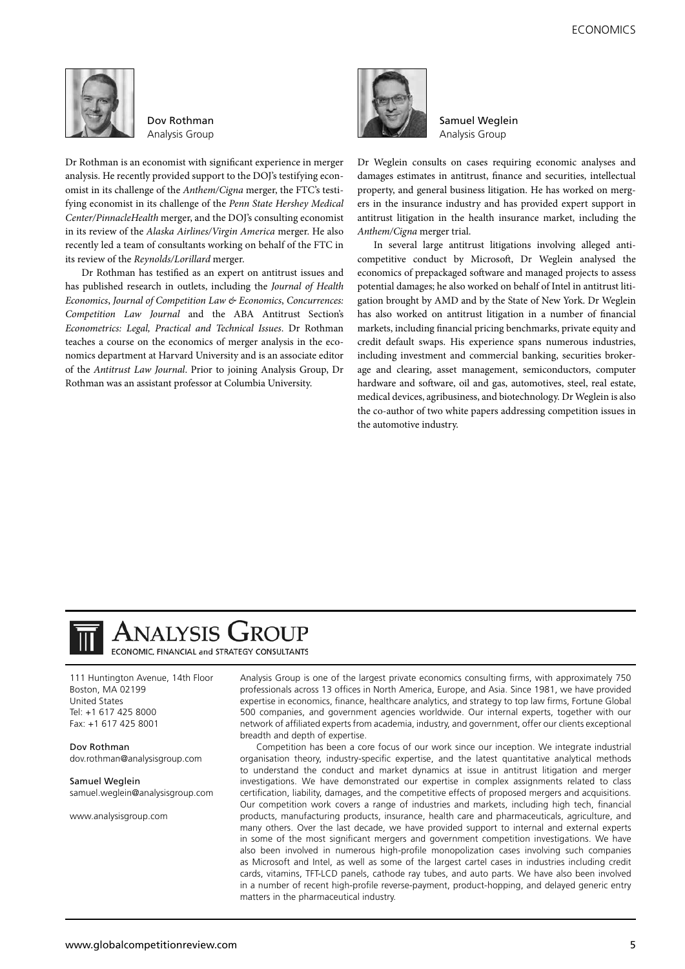

Dov Rothman Analysis Group

Dr Rothman is an economist with significant experience in merger analysis. He recently provided support to the DOJ's testifying economist in its challenge of the *Anthem/Cigna* merger, the FTC's testifying economist in its challenge of the *Penn State Hershey Medical Center/PinnacleHealth* merger, and the DOJ's consulting economist in its review of the *Alaska Airlines/Virgin America* merger. He also recently led a team of consultants working on behalf of the FTC in its review of the *Reynolds/Lorillard* merger.

Dr Rothman has testified as an expert on antitrust issues and has published research in outlets, including the *Journal of Health Economics*, *Journal of Competition Law & Economics*, *Concurrences: Competition Law Journal* and the ABA Antitrust Section's *Econometrics: Legal, Practical and Technical Issues*. Dr Rothman teaches a course on the economics of merger analysis in the economics department at Harvard University and is an associate editor of the *Antitrust Law Journal*. Prior to joining Analysis Group, Dr Rothman was an assistant professor at Columbia University.



Samuel Weglein Analysis Group

Dr Weglein consults on cases requiring economic analyses and damages estimates in antitrust, finance and securities, intellectual property, and general business litigation. He has worked on mergers in the insurance industry and has provided expert support in antitrust litigation in the health insurance market, including the *Anthem/Cigna* merger trial.

In several large antitrust litigations involving alleged anticompetitive conduct by Microsoft, Dr Weglein analysed the economics of prepackaged software and managed projects to assess potential damages; he also worked on behalf of Intel in antitrust litigation brought by AMD and by the State of New York. Dr Weglein has also worked on antitrust litigation in a number of financial markets, including financial pricing benchmarks, private equity and credit default swaps. His experience spans numerous industries, including investment and commercial banking, securities brokerage and clearing, asset management, semiconductors, computer hardware and software, oil and gas, automotives, steel, real estate, medical devices, agribusiness, and biotechnology. Dr Weglein is also the co-author of two white papers addressing competition issues in the automotive industry.



## **ANALYSIS GROUP** ECONOMIC, FINANCIAL and STRATEGY CONSULTANTS

111 Huntington Avenue, 14th Floor Boston, MA 02199 United States Tel: +1 617 425 8000 Fax: +1 617 425 8001

Dov Rothman dov.rothman@analysisgroup.com

Samuel Weglein samuel.weglein@analysisgroup.com

www.analysisgroup.com

Analysis Group is one of the largest private economics consulting firms, with approximately 750 professionals across 13 offices in North America, Europe, and Asia. Since 1981, we have provided expertise in economics, finance, healthcare analytics, and strategy to top law firms, Fortune Global 500 companies, and government agencies worldwide. Our internal experts, together with our network of affiliated experts from academia, industry, and government, offer our clients exceptional breadth and depth of expertise.

Competition has been a core focus of our work since our inception. We integrate industrial organisation theory, industry-specific expertise, and the latest quantitative analytical methods to understand the conduct and market dynamics at issue in antitrust litigation and merger investigations. We have demonstrated our expertise in complex assignments related to class certification, liability, damages, and the competitive effects of proposed mergers and acquisitions. Our competition work covers a range of industries and markets, including high tech, financial products, manufacturing products, insurance, health care and pharmaceuticals, agriculture, and many others. Over the last decade, we have provided support to internal and external experts in some of the most significant mergers and government competition investigations. We have also been involved in numerous high-profile monopolization cases involving such companies as Microsoft and Intel, as well as some of the largest cartel cases in industries including credit cards, vitamins, TFT-LCD panels, cathode ray tubes, and auto parts. We have also been involved in a number of recent high-profile reverse-payment, product-hopping, and delayed generic entry matters in the pharmaceutical industry.